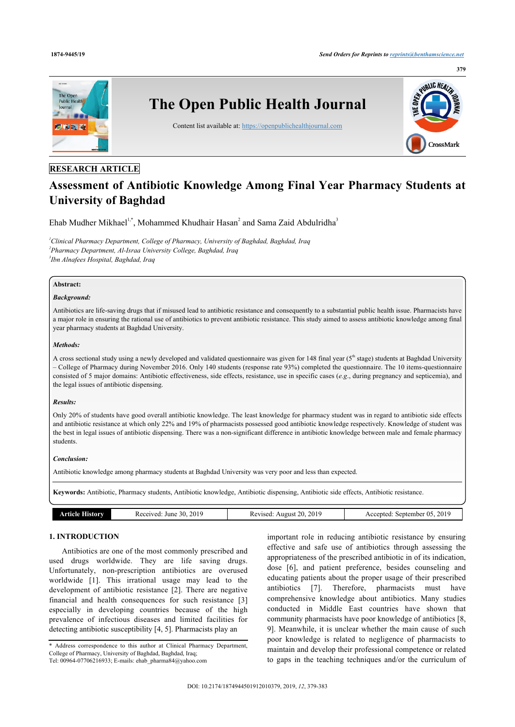

# **RESEARCH ARTICLE**

# **Assessment of Antibiotic Knowledge Among Final Year Pharmacy Students at University of Baghdad**

Ehab Mudher Mikhael<sup>[1](#page-0-0)[,\\*](#page-0-1)</sup>, Mohammed Khudhair Hasan<sup>[2](#page-0-2)</sup> and Sama Zaid Abdulridha<sup>[3](#page-0-3)</sup>

<span id="page-0-3"></span><span id="page-0-2"></span><span id="page-0-0"></span>*<sup>1</sup>Clinical Pharmacy Department, College of Pharmacy, University of Baghdad, Baghdad, Iraq 2 Pharmacy Department, Al-Israa University College, Baghdad, Iraq 3 Ibn Alnafees Hospital, Baghdad, Iraq*

# **Abstract:**

#### *Background:*

Antibiotics are life-saving drugs that if misused lead to antibiotic resistance and consequently to a substantial public health issue. Pharmacists have a major role in ensuring the rational use of antibiotics to prevent antibiotic resistance. This study aimed to assess antibiotic knowledge among final year pharmacy students at Baghdad University.

#### *Methods:*

A cross sectional study using a newly developed and validated questionnaire was given for 148 final year  $(5<sup>th</sup> stage)$  students at Baghdad University – College of Pharmacy during November 2016. Only 140 students (response rate 93%) completed the questionnaire. The 10 items-questionnaire consisted of 5 major domains: Antibiotic effectiveness, side effects, resistance, use in specific cases (*e.g*., during pregnancy and septicemia), and the legal issues of antibiotic dispensing.

#### *Results:*

Only 20% of students have good overall antibiotic knowledge. The least knowledge for pharmacy student was in regard to antibiotic side effects and antibiotic resistance at which only 22% and 19% of pharmacists possessed good antibiotic knowledge respectively. Knowledge of student was the best in legal issues of antibiotic dispensing. There was a non-significant difference in antibiotic knowledge between male and female pharmacy students.

### *Conclusion:*

Antibiotic knowledge among pharmacy students at Baghdad University was very poor and less than expected.

**Keywords:** Antibiotic, Pharmacy students, Antibiotic knowledge, Antibiotic dispensing, Antibiotic side effects, Antibiotic resistance.

|  | Article History | 2019<br>30.<br>June<br>Received | 2019<br>20.<br>Revised:<br>August | 2019<br>September 05.<br>Accepted: |
|--|-----------------|---------------------------------|-----------------------------------|------------------------------------|
|--|-----------------|---------------------------------|-----------------------------------|------------------------------------|

# **1. INTRODUCTION**

Antibiotics are one of the most commonly prescribed and used drugs worldwide. They are life saving drugs. Unfortunately, non-prescription antibiotics are overused worldwide [\[1\]](#page-4-0). This irrational usage may lead to the development of antibiotic resistance [\[2\]](#page-4-1). There are negative financial and health consequences for such resistance[[3](#page-4-2)] especially in developing countries because of the high prevalence of infectious diseases and limited facilities for detecting antibiotic susceptibility [\[4,](#page-4-3) [5\]](#page-4-4). Pharmacists play an

important role in reducing antibiotic resistance by ensuring effective and safe use of antibiotics through assessing the appropriateness of the prescribed antibiotic in of its indication, dose[[6](#page-4-5)], and patient preference, besides counseling and educating patients about the proper usage of their prescribed antibiotics[[7](#page-4-6)]. Therefore, pharmacists must have comprehensive knowledge about antibiotics. Many studies conducted in Middle East countries have shown that community pharmacists have poor knowledge of antibiotics [[8](#page-4-7), [9\]](#page-4-8). Meanwhile, it is unclear whether the main cause of such poor knowledge is related to negligence of pharmacists to maintain and develop their professional competence or related to gaps in the teaching techniques and/or the curriculum of

<span id="page-0-1"></span><sup>\*</sup> Address correspondence to this author at Clinical Pharmacy Department, College of Pharmacy, University of Baghdad, Baghdad, Iraq; Tel: 00964-07706216933; E-mails: [ehab\\_pharma84@yahoo.com](mailto:ehab_pharma84@yahoo.com)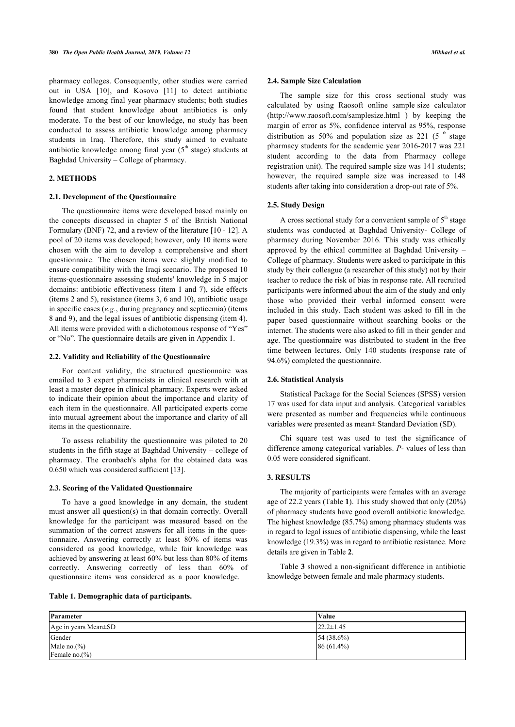pharmacy colleges. Consequently, other studies were carried out in USA[[10\]](#page-4-9), and Kosovo [\[11](#page-4-10)] to detect antibiotic knowledge among final year pharmacy students; both studies found that student knowledge about antibiotics is only moderate. To the best of our knowledge, no study has been conducted to assess antibiotic knowledge among pharmacy students in Iraq. Therefore, this study aimed to evaluate antibiotic knowledge among final year  $(5<sup>th</sup>$  stage) students at Baghdad University – College of pharmacy.

# **2. METHODS**

#### **2.1. Development of the Questionnaire**

The questionnaire items were developed based mainly on the concepts discussed in chapter 5 of the British National Formulary (BNF) 72, and a review of the literature [[10](#page-4-9) - [12](#page-4-11)]. A pool of 20 items was developed; however, only 10 items were chosen with the aim to develop a comprehensive and short questionnaire. The chosen items were slightly modified to ensure compatibility with the Iraqi scenario. The proposed 10 items-questionnaire assessing students' knowledge in 5 major domains: antibiotic effectiveness (item 1 and 7), side effects (items 2 and 5), resistance (items 3, 6 and 10), antibiotic usage in specific cases (*e.g*., during pregnancy and septicemia) (items 8 and 9), and the legal issues of antibiotic dispensing (item 4). All items were provided with a dichotomous response of "Yes" or "No". The questionnaire details are given in Appendix 1.

#### **2.2. Validity and Reliability of the Questionnaire**

For content validity, the structured questionnaire was emailed to 3 expert pharmacists in clinical research with at least a master degree in clinical pharmacy. Experts were asked to indicate their opinion about the importance and clarity of each item in the questionnaire. All participated experts come into mutual agreement about the importance and clarity of all items in the questionnaire.

To assess reliability the questionnaire was piloted to 20 students in the fifth stage at Baghdad University – college of pharmacy. The cronbach's alpha for the obtained data was 0.650 which was considered sufficient [\[13](#page-4-12)].

#### **2.3. Scoring of the Validated Questionnaire**

To have a good knowledge in any domain, the student must answer all question(s) in that domain correctly. Overall knowledge for the participant was measured based on the summation of the correct answers for all items in the questionnaire. Answering correctly at least 80% of items was considered as good knowledge, while fair knowledge was achieved by answering at least 60% but less than 80% of items correctly. Answering correctly of less than 60% of questionnaire items was considered as a poor knowledge.

#### **2.4. Sample Size Calculation**

The sample size for this cross sectional study was calculated by using Raosoft online sample size calculator (<http://www.raosoft.com/samplesize.html> ) by keeping the margin of error as 5%, confidence interval as 95%, response distribution as 50% and population size as 221 (5<sup>th</sup> stage pharmacy students for the academic year 2016-2017 was 221 student according to the data from Pharmacy college registration unit). The required sample size was 141 students; however, the required sample size was increased to 148 students after taking into consideration a drop-out rate of 5%.

#### **2.5. Study Design**

A cross sectional study for a convenient sample of  $5<sup>th</sup>$  stage students was conducted at Baghdad University- College of pharmacy during November 2016. This study was ethically approved by the ethical committee at Baghdad University – College of pharmacy. Students were asked to participate in this study by their colleague (a researcher of this study) not by their teacher to reduce the risk of bias in response rate. All recruited participants were informed about the aim of the study and only those who provided their verbal informed consent were included in this study. Each student was asked to fill in the paper based questionnaire without searching books or the internet. The students were also asked to fill in their gender and age. The questionnaire was distributed to student in the free time between lectures. Only 140 students (response rate of 94.6%) completed the questionnaire.

#### **2.6. Statistical Analysis**

Statistical Package for the Social Sciences (SPSS) version 17 was used for data input and analysis. Categorical variables were presented as number and frequencies while continuous variables were presented as mean± Standard Deviation (SD).

Chi square test was used to test the significance of difference among categorical variables. *P*- values of less than 0.05 were considered significant.

# **3. RESULTS**

The majority of part[ic](#page-1-0)ipants were females with an average age of 22.2 years (Table **1**). This study showed that only (20%) of pharmacy students have good overall antibiotic knowledge. The highest knowledge (85.7%) among pharmacy students was in regard to legal issues of antibiotic dispensing, while the least knowledge (19.3%) was i[n](#page--1-0) regard to antibiotic resistance. More details are [gi](#page--1-0)ven in Table **2**.

Table **3** showed a non-significant difference in antibiotic knowledge between female and male pharmacy students.

<span id="page-1-0"></span>

| Parameter            | <b>Value</b>     |
|----------------------|------------------|
| Age in years Mean±SD | $122.2 \pm 1.45$ |
| Gender               | 54(38.6%)        |
| Male no. $(\% )$     | $86(61.4\%)$     |
| Female $no.(%)$      |                  |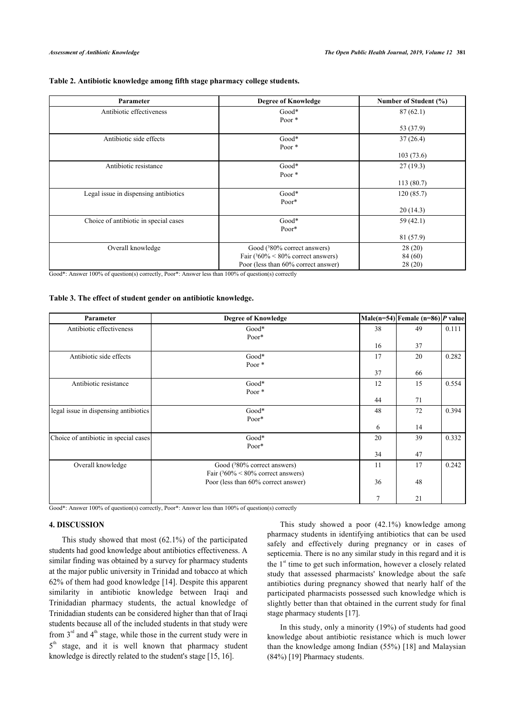|  | Table 2. Antibiotic knowledge among fifth stage pharmacy college students. |  |  |  |
|--|----------------------------------------------------------------------------|--|--|--|
|  |                                                                            |  |  |  |

| Parameter                             | <b>Degree of Knowledge</b>                                                                                      | Number of Student (%)       |
|---------------------------------------|-----------------------------------------------------------------------------------------------------------------|-----------------------------|
| Antibiotic effectiveness              | $Good*$<br>Poor $*$                                                                                             | 87(62.1)                    |
|                                       |                                                                                                                 | 53 (37.9)                   |
| Antibiotic side effects               | $Good*$<br>Poor $*$                                                                                             | 37(26.4)                    |
|                                       |                                                                                                                 | 103(73.6)                   |
| Antibiotic resistance                 | $Good*$<br>Poor $*$                                                                                             | 27(19.3)                    |
|                                       |                                                                                                                 | 113(80.7)                   |
| Legal issue in dispensing antibiotics | $Good*$<br>$Poor*$                                                                                              | 120(85.7)                   |
|                                       |                                                                                                                 | 20(14.3)                    |
| Choice of antibiotic in special cases | $Good*$<br>$Poor*$                                                                                              | 59 (42.1)                   |
|                                       |                                                                                                                 | 81 (57.9)                   |
| Overall knowledge                     | Good (380% correct answers)<br>Fair $(^360\% \leq 80\%$ correct answers)<br>Poor (less than 60% correct answer) | 28(20)<br>84 (60)<br>28(20) |

Good<sup>\*</sup>: Answer 100% of question(s) correctly, Poor<sup>\*</sup>: Answer less than 100% of question(s) correctly

#### **Table 3. The effect of student gender on antibiotic knowledge.**

| Parameter                             | <b>Degree of Knowledge</b>                                               |    | Male(n=54) Female (n=86) P value |       |
|---------------------------------------|--------------------------------------------------------------------------|----|----------------------------------|-------|
| Antibiotic effectiveness              | $Good*$<br>$Poor*$                                                       | 38 | 49                               | 0.111 |
|                                       |                                                                          | 16 | 37                               |       |
| Antibiotic side effects               | $Good*$<br>Poor $*$                                                      | 17 | 20                               | 0.282 |
|                                       |                                                                          | 37 | 66                               |       |
| Antibiotic resistance                 | $Good*$<br>Poor $*$                                                      | 12 | 15                               | 0.554 |
|                                       |                                                                          | 44 | 71                               |       |
| legal issue in dispensing antibiotics | $Good*$<br>$Poor*$                                                       | 48 | 72                               | 0.394 |
|                                       |                                                                          | 6  | 14                               |       |
| Choice of antibiotic in special cases | $Good*$<br>$Poor*$                                                       | 20 | 39                               | 0.332 |
|                                       |                                                                          | 34 | 47                               |       |
| Overall knowledge                     | Good (380% correct answers)<br>Fair $(^360\% \leq 80\%$ correct answers) | 11 | 17                               | 0.242 |
|                                       | Poor (less than 60% correct answer)                                      | 36 | 48                               |       |
|                                       |                                                                          | 7  | 21                               |       |

Good<sup>\*</sup>: Answer 100% of question(s) correctly, Poor<sup>\*</sup>: Answer less than 100% of question(s) correctly

# **4. DISCUSSION**

This study showed that most (62.1%) of the participated students had good knowledge about antibiotics effectiveness. A similar finding was obtained by a survey for pharmacy students at the major public university in Trinidad and tobacco at which 62% of them had good knowledge [[14\]](#page-4-13). Despite this apparent similarity in antibiotic knowledge between Iraqi and Trinidadian pharmacy students, the actual knowledge of Trinidadian students can be considered higher than that of Iraqi students because all of the included students in that study were from  $3<sup>rd</sup>$  and  $4<sup>th</sup>$  stage, while those in the current study were in 5<sup>th</sup> stage, and it is well known that pharmacy student knowledge is directly related to the student's stage [[15,](#page-4-14) [16](#page-4-15)].

This study showed a poor (42.1%) knowledge among pharmacy students in identifying antibiotics that can be used safely and effectively during pregnancy or in cases of septicemia. There is no any similar study in this regard and it is the  $1<sup>st</sup>$  time to get such information, however a closely related study that assessed pharmacists' knowledge about the safe antibiotics during pregnancy showed that nearly half of the participated pharmacists possessed such knowledge which is slightly better than that obtained in the current study for final stage pharmacy students [\[17](#page-4-16)].

In this study, only a minority (19%) of students had good knowledge about antibiotic resistance which is much lower than the knowledge among Indian (55%) [[18](#page-4-17)] and Malaysian (84%) [[19\]](#page-4-18) Pharmacy students.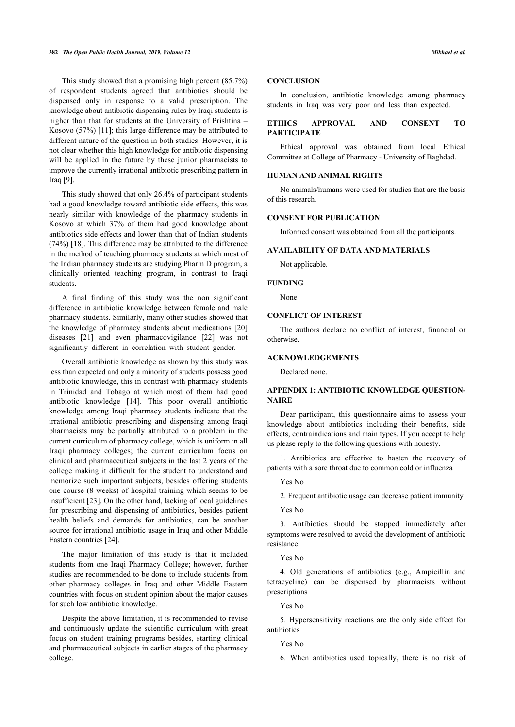This study showed that a promising high percent (85.7%) of respondent students agreed that antibiotics should be dispensed only in response to a valid prescription. The knowledge about antibiotic dispensing rules by Iraqi students is higher than that for students at the University of Prishtina – Kosovo (57%) [[11\]](#page-4-10); this large difference may be attributed to different nature of the question in both studies. However, it is not clear whether this high knowledge for antibiotic dispensing will be applied in the future by these junior pharmacists to improve the currently irrational antibiotic prescribing pattern in Iraq [\[9\]](#page-4-8).

This study showed that only 26.4% of participant students had a good knowledge toward antibiotic side effects, this was nearly similar with knowledge of the pharmacy students in Kosovo at which 37% of them had good knowledge about antibiotics side effects and lower than that of Indian students (74%) [[18\]](#page-4-17). This difference may be attributed to the difference in the method of teaching pharmacy students at which most of the Indian pharmacy students are studying Pharm D program, a clinically oriented teaching program, in contrast to Iraqi students.

A final finding of this study was the non significant difference in antibiotic knowledge between female and male pharmacy students. Similarly, many other studies showed that the knowledge of pharmacy students about medications [[20](#page-4-19)] diseases[[21](#page-4-20)] and even pharmacovigilance[[22](#page-4-21)] was not significantly different in correlation with student gender.

Overall antibiotic knowledge as shown by this study was less than expected and only a minority of students possess good antibiotic knowledge, this in contrast with pharmacy students in Trinidad and Tobago at which most of them had good antibiotic knowledge [\[14\]](#page-4-13). This poor overall antibiotic knowledge among Iraqi pharmacy students indicate that the irrational antibiotic prescribing and dispensing among Iraqi pharmacists may be partially attributed to a problem in the current curriculum of pharmacy college, which is uniform in all Iraqi pharmacy colleges; the current curriculum focus on clinical and pharmaceutical subjects in the last 2 years of the college making it difficult for the student to understand and memorize such important subjects, besides offering students one course (8 weeks) of hospital training which seems to be insufficient [\[23](#page-4-22)]. On the other hand, lacking of local guidelines for prescribing and dispensing of antibiotics, besides patient health beliefs and demands for antibiotics, can be another source for irrational antibiotic usage in Iraq and other Middle Eastern countries [\[24](#page-4-23)].

The major limitation of this study is that it included students from one Iraqi Pharmacy College; however, further studies are recommended to be done to include students from other pharmacy colleges in Iraq and other Middle Eastern countries with focus on student opinion about the major causes for such low antibiotic knowledge.

Despite the above limitation, it is recommended to revise and continuously update the scientific curriculum with great focus on student training programs besides, starting clinical and pharmaceutical subjects in earlier stages of the pharmacy college.

## **CONCLUSION**

In conclusion, antibiotic knowledge among pharmacy students in Iraq was very poor and less than expected.

# **ETHICS APPROVAL AND CONSENT TO PARTICIPATE**

Ethical approval was obtained from local Ethical Committee at College of Pharmacy - University of Baghdad.

# **HUMAN AND ANIMAL RIGHTS**

No animals/humans were used for studies that are the basis of this research.

#### **CONSENT FOR PUBLICATION**

Informed consent was obtained from all the participants.

# **AVAILABILITY OF DATA AND MATERIALS**

Not applicable.

#### **FUNDING**

None

# **CONFLICT OF INTEREST**

The authors declare no conflict of interest, financial or otherwise.

# **ACKNOWLEDGEMENTS**

Declared none.

# **APPENDIX 1: ANTIBIOTIC KNOWLEDGE QUESTION-NAIRE**

Dear participant, this questionnaire aims to assess your knowledge about antibiotics including their benefits, side effects, contraindications and main types. If you accept to help us please reply to the following questions with honesty.

1. Antibiotics are effective to hasten the recovery of patients with a sore throat due to common cold or influenza

Yes No

2. Frequent antibiotic usage can decrease patient immunity

Yes No

3. Antibiotics should be stopped immediately after symptoms were resolved to avoid the development of antibiotic resistance

## Yes No

4. Old generations of antibiotics (e.g., Ampicillin and tetracycline) can be dispensed by pharmacists without prescriptions

# Yes No

5. Hypersensitivity reactions are the only side effect for antibiotics

Yes No

6. When antibiotics used topically, there is no risk of